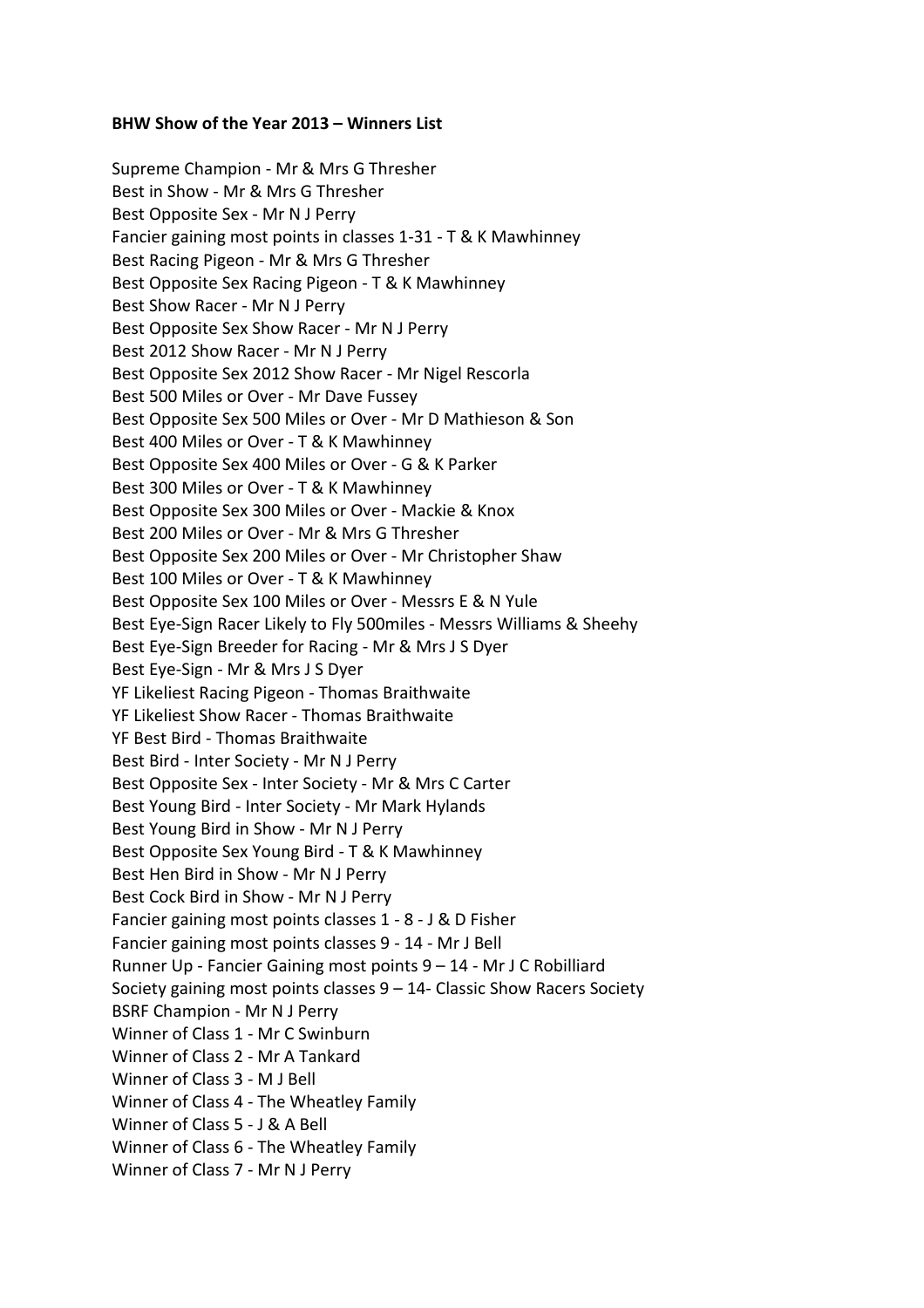## BHW Show of the Year 2013 – Winners List

Supreme Champion - Mr & Mrs G Thresher Best in Show - Mr & Mrs G Thresher Best Opposite Sex - Mr N J Perry Fancier gaining most points in classes 1-31 - T & K Mawhinney Best Racing Pigeon - Mr & Mrs G Thresher Best Opposite Sex Racing Pigeon - T & K Mawhinney Best Show Racer - Mr N J Perry Best Opposite Sex Show Racer - Mr N J Perry Best 2012 Show Racer - Mr N J Perry Best Opposite Sex 2012 Show Racer - Mr Nigel Rescorla Best 500 Miles or Over - Mr Dave Fussey Best Opposite Sex 500 Miles or Over - Mr D Mathieson & Son Best 400 Miles or Over - T & K Mawhinney Best Opposite Sex 400 Miles or Over - G & K Parker Best 300 Miles or Over - T & K Mawhinney Best Opposite Sex 300 Miles or Over - Mackie & Knox Best 200 Miles or Over - Mr & Mrs G Thresher Best Opposite Sex 200 Miles or Over - Mr Christopher Shaw Best 100 Miles or Over - T & K Mawhinney Best Opposite Sex 100 Miles or Over - Messrs E & N Yule Best Eye-Sign Racer Likely to Fly 500miles - Messrs Williams & Sheehy Best Eye-Sign Breeder for Racing - Mr & Mrs J S Dyer Best Eye-Sign - Mr & Mrs J S Dyer YF Likeliest Racing Pigeon - Thomas Braithwaite YF Likeliest Show Racer - Thomas Braithwaite YF Best Bird - Thomas Braithwaite Best Bird - Inter Society - Mr N J Perry Best Opposite Sex - Inter Society - Mr & Mrs C Carter Best Young Bird - Inter Society - Mr Mark Hylands Best Young Bird in Show - Mr N J Perry Best Opposite Sex Young Bird - T & K Mawhinney Best Hen Bird in Show - Mr N J Perry Best Cock Bird in Show - Mr N J Perry Fancier gaining most points classes 1 - 8 - J & D Fisher Fancier gaining most points classes 9 - 14 - Mr J Bell Runner Up - Fancier Gaining most points 9 – 14 - Mr J C Robilliard Society gaining most points classes 9 – 14- Classic Show Racers Society BSRF Champion - Mr N J Perry Winner of Class 1 - Mr C Swinburn Winner of Class 2 - Mr A Tankard Winner of Class 3 - M J Bell Winner of Class 4 - The Wheatley Family Winner of Class 5 - J & A Bell Winner of Class 6 - The Wheatley Family Winner of Class 7 - Mr N J Perry